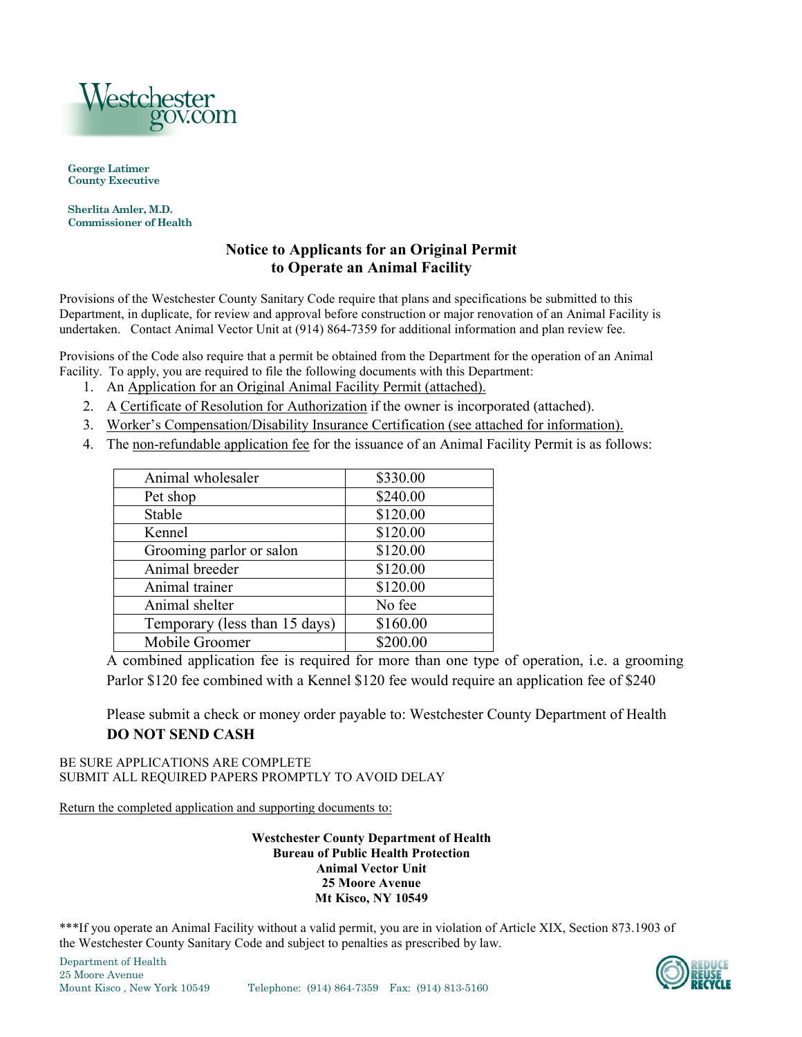

**George Latimer County Executive**

**Sherlita Amler, M.D. Commissioner of Health**

### **Notice to Applicants for an Original Permit to Operate an Animal Facility**

Provisions of the Westchester County Sanitary Code require that plans and specifications be submitted to this Department, in duplicate, for review and approval before construction or major renovation of an Animal Facility is undertaken. Contact Animal Vector Unit at (914) 864-7359 for additional information and plan review fee.

Provisions of the Code also require that a permit be obtained from the Department for the operation of an Animal Facility. To apply, you are required to file the following documents with this Department:

- 1. An Application for an Original Animal Facility Permit (attached).
- 2. A Certificate of Resolution for Authorization if the owner is incorporated (attached).
- 3. Worker's Compensation/Disability Insurance Certification (see attached for information).
- 4. The non-refundable application fee for the issuance of an Animal Facility Permit is as follows:

| Animal wholesaler             | \$330.00 |
|-------------------------------|----------|
| Pet shop                      | \$240.00 |
| Stable                        | \$120.00 |
| Kennel                        | \$120.00 |
| Grooming parlor or salon      | \$120.00 |
| Animal breeder                | \$120.00 |
| Animal trainer                | \$120.00 |
| Animal shelter                | No fee   |
| Temporary (less than 15 days) | \$160.00 |
| Mobile Groomer                | \$200.00 |

A combined application fee is required for more than one type of operation, i.e. a grooming Parlor \$120 fee combined with a Kennel \$120 fee would require an application fee of \$240

Please submit a check or money order payable to: Westchester County Department of Health **DO NOT SEND CASH** 

BE SURE APPLICATIONS ARE COMPLETE SUBMIT ALL REQUIRED PAPERS PROMPTLY TO AVOID DELAY

Return the completed application and supporting documents to:

**Westchester County Department of Health Bureau of Public Health Protection Animal Vector Unit 25 Moore Avenue Mt Kisco, NY 10549**

\*\*\*If you operate an Animal Facility without a valid permit, you are in violation of Article XIX, Section 873.1903 of the Westchester County Sanitary Code and subject to penalties as prescribed by law.

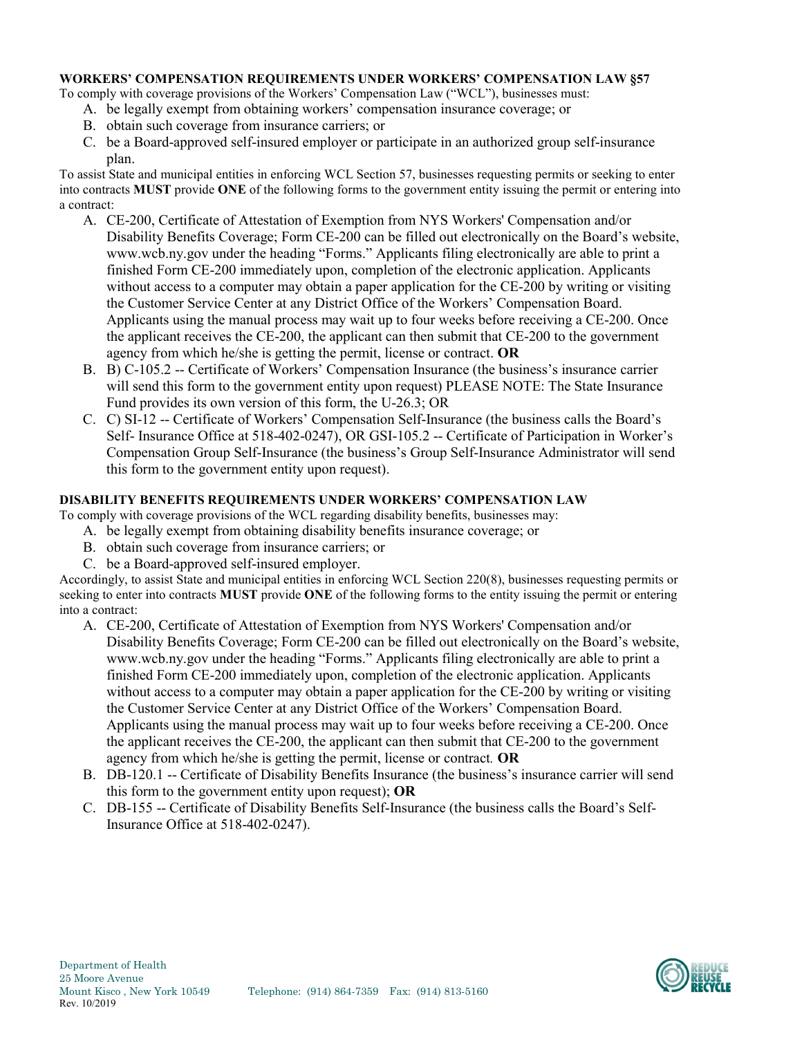#### **WORKERS' COMPENSATION REQUIREMENTS UNDER WORKERS' COMPENSATION LAW §57**

To comply with coverage provisions of the Workers' Compensation Law ("WCL"), businesses must:

- A. be legally exempt from obtaining workers' compensation insurance coverage; or
- B. obtain such coverage from insurance carriers; or
- C. be a Board-approved self-insured employer or participate in an authorized group self-insurance plan.

To assist State and municipal entities in enforcing WCL Section 57, businesses requesting permits or seeking to enter into contracts **MUST** provide **ONE** of the following forms to the government entity issuing the permit or entering into a contract:

- A. CE-200, Certificate of Attestation of Exemption from NYS Workers' Compensation and/or Disability Benefits Coverage; Form CE-200 can be filled out electronically on the Board's website, www.wcb.ny.gov under the heading "Forms." Applicants filing electronically are able to print a finished Form CE-200 immediately upon, completion of the electronic application. Applicants without access to a computer may obtain a paper application for the CE-200 by writing or visiting the Customer Service Center at any District Office of the Workers' Compensation Board. Applicants using the manual process may wait up to four weeks before receiving a CE-200. Once the applicant receives the CE-200, the applicant can then submit that CE-200 to the government agency from which he/she is getting the permit, license or contract. **OR**
- B. B) C-105.2 -- Certificate of Workers' Compensation Insurance (the business's insurance carrier will send this form to the government entity upon request) PLEASE NOTE: The State Insurance Fund provides its own version of this form, the U-26.3; OR
- C. C) SI-12 -- Certificate of Workers' Compensation Self-Insurance (the business calls the Board's Self- Insurance Office at 518-402-0247), OR GSI-105.2 -- Certificate of Participation in Worker's Compensation Group Self-Insurance (the business's Group Self-Insurance Administrator will send this form to the government entity upon request).

#### **DISABILITY BENEFITS REQUIREMENTS UNDER WORKERS' COMPENSATION LAW**

To comply with coverage provisions of the WCL regarding disability benefits, businesses may:

- A. be legally exempt from obtaining disability benefits insurance coverage; or
- B. obtain such coverage from insurance carriers; or
- C. be a Board-approved self-insured employer.

Accordingly, to assist State and municipal entities in enforcing WCL Section 220(8), businesses requesting permits or seeking to enter into contracts **MUST** provide **ONE** of the following forms to the entity issuing the permit or entering into a contract:

- A. CE-200, Certificate of Attestation of Exemption from NYS Workers' Compensation and/or Disability Benefits Coverage; Form CE-200 can be filled out electronically on the Board's website, www.wcb.ny.gov under the heading "Forms." Applicants filing electronically are able to print a finished Form CE-200 immediately upon, completion of the electronic application. Applicants without access to a computer may obtain a paper application for the CE-200 by writing or visiting the Customer Service Center at any District Office of the Workers' Compensation Board. Applicants using the manual process may wait up to four weeks before receiving a CE-200. Once the applicant receives the CE-200, the applicant can then submit that CE-200 to the government agency from which he/she is getting the permit, license or contract*.* **OR**
- B. DB-120.1 -- Certificate of Disability Benefits Insurance (the business's insurance carrier will send this form to the government entity upon request); **OR**
- C. DB-155 -- Certificate of Disability Benefits Self-Insurance (the business calls the Board's Self-Insurance Office at 518-402-0247).

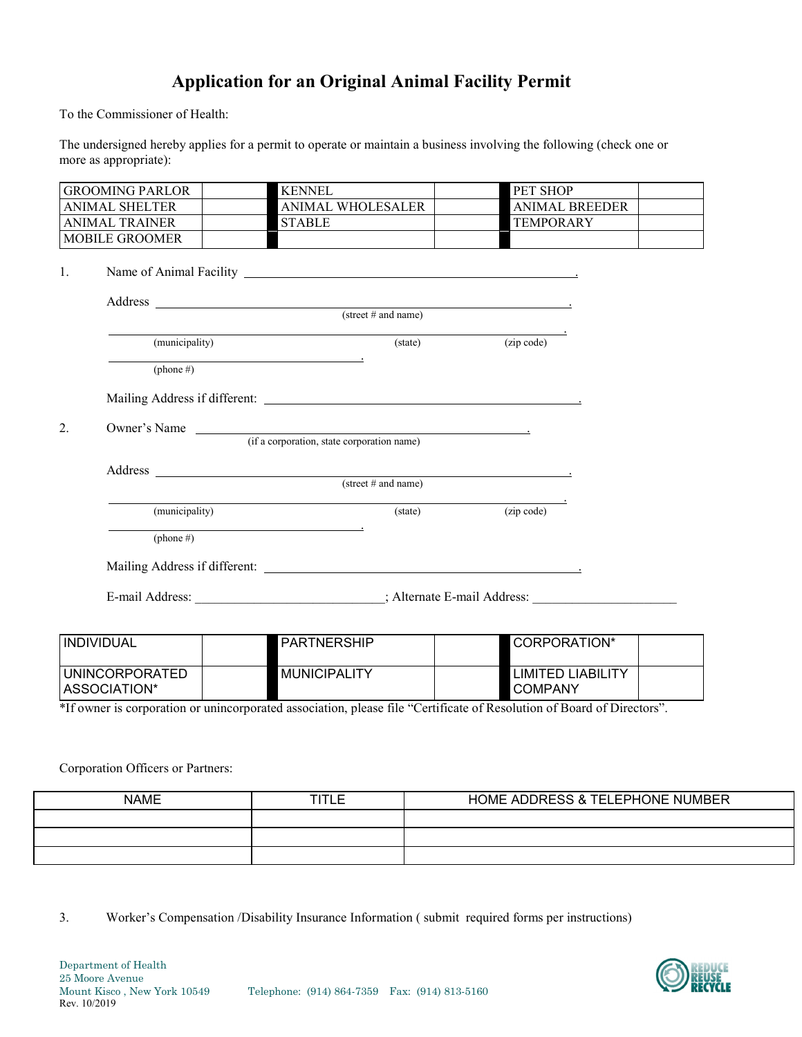# **Application for an Original Animal Facility Permit**

To the Commissioner of Health:

The undersigned hereby applies for a permit to operate or maintain a business involving the following (check one or more as appropriate):

|                       | <b>KENNEL</b>                                                                                                                                                                                                                                                                 | PET SHOP                       |
|-----------------------|-------------------------------------------------------------------------------------------------------------------------------------------------------------------------------------------------------------------------------------------------------------------------------|--------------------------------|
| <b>ANIMAL SHELTER</b> | ANIMAL WHOLESALER                                                                                                                                                                                                                                                             | <b>ANIMAL BREEDER</b>          |
| <b>ANIMAL TRAINER</b> | <b>STABLE</b>                                                                                                                                                                                                                                                                 | <b>TEMPORARY</b>               |
| <b>MOBILE GROOMER</b> |                                                                                                                                                                                                                                                                               |                                |
|                       |                                                                                                                                                                                                                                                                               |                                |
| 1.                    |                                                                                                                                                                                                                                                                               |                                |
|                       |                                                                                                                                                                                                                                                                               |                                |
|                       | Address (street # and name)                                                                                                                                                                                                                                                   |                                |
|                       |                                                                                                                                                                                                                                                                               | $\overline{(\text{zip code})}$ |
| (municipality)        | $(\text{state})$                                                                                                                                                                                                                                                              |                                |
| $(\text{phone }\#)$   |                                                                                                                                                                                                                                                                               |                                |
|                       |                                                                                                                                                                                                                                                                               |                                |
|                       |                                                                                                                                                                                                                                                                               |                                |
| 2.                    |                                                                                                                                                                                                                                                                               |                                |
|                       |                                                                                                                                                                                                                                                                               |                                |
|                       | Owner's Name (if a corporation, state corporation name)                                                                                                                                                                                                                       |                                |
|                       |                                                                                                                                                                                                                                                                               |                                |
|                       | Address <u>and the community of the community of the community of the community of the community of the community of the community of the community of the community of the community of the community of the community of the c</u><br>$(\text{street} \# \text{ and name})$ |                                |
|                       |                                                                                                                                                                                                                                                                               |                                |
| (municipality)        | (state)                                                                                                                                                                                                                                                                       | (zip code)                     |
|                       | $(\text{phone } \#)$                                                                                                                                                                                                                                                          |                                |
|                       |                                                                                                                                                                                                                                                                               |                                |
|                       |                                                                                                                                                                                                                                                                               |                                |
|                       |                                                                                                                                                                                                                                                                               |                                |
|                       | E-mail Address: ______________________________; Alternate E-mail Address: __________________________                                                                                                                                                                          |                                |
| <b>INDIVIDUAL</b>     | PARTNERSHIP                                                                                                                                                                                                                                                                   | CORPORATION*                   |

\*If owner is corporation or unincorporated association, please file "Certificate of Resolution of Board of Directors".

Corporation Officers or Partners:

UNINCORPORATED ASSOCIATION\*

| <b>NAME</b> | HOME ADDRESS & TELEPHONE NUMBER |
|-------------|---------------------------------|
|             |                                 |
|             |                                 |
|             |                                 |

MUNICIPALITY LIMITED LIABILITY

COMPANY

3. Worker's Compensation /Disability Insurance Information ( submit required forms per instructions)

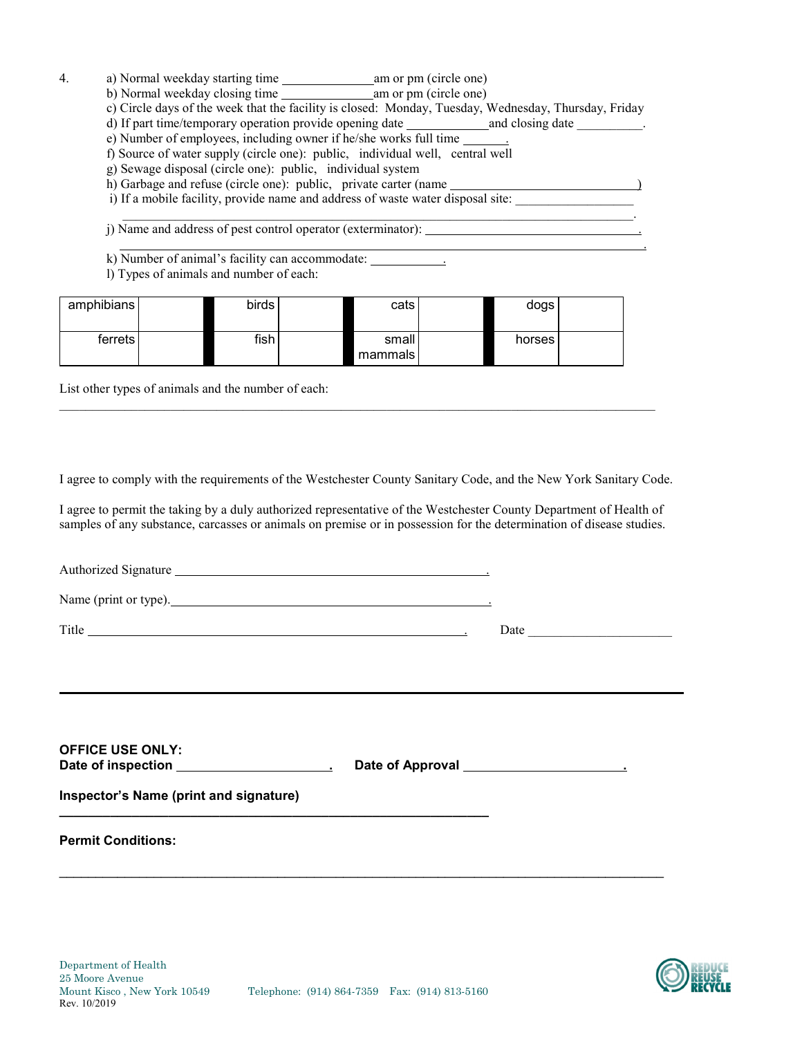- 4. a) Normal weekday starting time am or pm (circle one)
	- b) Normal weekday closing time am or pm (circle one)
	- c) Circle days of the week that the facility is closed: Monday, Tuesday, Wednesday, Thursday, Friday

 $\frac{1}{2}$  ,  $\frac{1}{2}$  ,  $\frac{1}{2}$  ,  $\frac{1}{2}$  ,  $\frac{1}{2}$  ,  $\frac{1}{2}$  ,  $\frac{1}{2}$  ,  $\frac{1}{2}$  ,  $\frac{1}{2}$  ,  $\frac{1}{2}$  ,  $\frac{1}{2}$  ,  $\frac{1}{2}$  ,  $\frac{1}{2}$  ,  $\frac{1}{2}$  ,  $\frac{1}{2}$  ,  $\frac{1}{2}$  ,  $\frac{1}{2}$  ,  $\frac{1}{2}$  ,  $\frac{1$ 

<u>. In the contract of the contract of the contract of the contract of the contract of the contract of the contract of the contract of the contract of the contract of the contract of the contract of the contract of the cont</u>

- d) If part time/temporary operation provide opening date \_\_\_\_\_\_\_\_\_\_\_\_\_\_\_\_\_\_\_\_\_\_\_.
- e) Number of employees, including owner if he/she works full time .
- f) Source of water supply (circle one): public, individual well, central well
- g) Sewage disposal (circle one): public, individual system
- h) Garbage and refuse (circle one): public, private carter (name  $\qquad \qquad$ )
- i) If a mobile facility, provide name and address of waste water disposal site:

j) Name and address of pest control operator (exterminator): .

- k) Number of animal's facility can accommodate:
- l) Types of animals and number of each:

| amphibians | birds l | cats               | dogs   |  |
|------------|---------|--------------------|--------|--|
| ferrets    | fish    | small<br>mammals l | horses |  |

List other types of animals and the number of each:

I agree to comply with the requirements of the Westchester County Sanitary Code, and the New York Sanitary Code.

 $\mathcal{L}_\mathcal{L} = \{ \mathcal{L}_\mathcal{L} = \{ \mathcal{L}_\mathcal{L} = \{ \mathcal{L}_\mathcal{L} = \{ \mathcal{L}_\mathcal{L} = \{ \mathcal{L}_\mathcal{L} = \{ \mathcal{L}_\mathcal{L} = \{ \mathcal{L}_\mathcal{L} = \{ \mathcal{L}_\mathcal{L} = \{ \mathcal{L}_\mathcal{L} = \{ \mathcal{L}_\mathcal{L} = \{ \mathcal{L}_\mathcal{L} = \{ \mathcal{L}_\mathcal{L} = \{ \mathcal{L}_\mathcal{L} = \{ \mathcal{L}_\mathcal{$ 

I agree to permit the taking by a duly authorized representative of the Westchester County Department of Health of samples of any substance, carcasses or animals on premise or in possession for the determination of disease studies.

| <b>Permit Conditions:</b>                                                         |  |
|-----------------------------------------------------------------------------------|--|
| Inspector's Name (print and signature)                                            |  |
| <b>OFFICE USE ONLY:</b>                                                           |  |
| ,我们也不能会在这里,我们也不能会在这里,我们也不能会在这里,我们也不能会在这里,我们也不能会在这里,我们也不能会在这里,我们也不能会不能会不能会。""我们,我们 |  |
|                                                                                   |  |
| Name (print or type).                                                             |  |
| Authorized Signature                                                              |  |